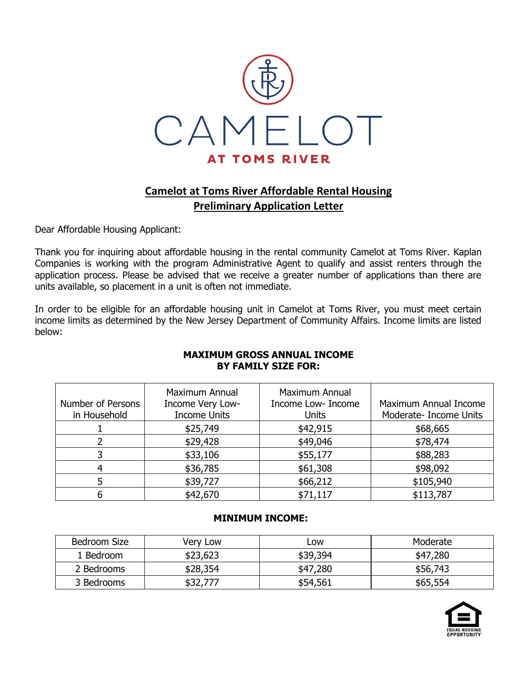

## **Camelot at Toms River Affordable Rental Housing Preliminary Application Letter**

Dear Affordable Housing Applicant:

Thank you for inquiring about affordable housing in the rental community Camelot at Toms River. Kaplan Companies is working with the program Administrative Agent to qualify and assist renters through the application process. Please be advised that we receive a greater number of applications than there are units available, so placement in a unit is often not immediate.

In order to be eligible for an affordable housing unit in Camelot at Toms River, you must meet certain income limits as determined by the New Jersey Department of Community Affairs. Income limits are listed below:

# **MAXIMUM GROSS ANNUAL INCOME BY FAMILY SIZE FOR:**

| Number of Persons<br>in Household | Maximum Annual<br>Income Very Low-<br><b>Income Units</b> | <b>Maximum Annual</b><br>Income Low- Income<br><b>Units</b> | Maximum Annual Income<br>Moderate- Income Units |
|-----------------------------------|-----------------------------------------------------------|-------------------------------------------------------------|-------------------------------------------------|
|                                   | \$25,749                                                  | \$42,915                                                    | \$68,665                                        |
|                                   | \$29,428                                                  | \$49,046                                                    | \$78,474                                        |
|                                   | \$33,106                                                  | \$55,177                                                    | \$88,283                                        |
|                                   | \$36,785                                                  | \$61,308                                                    | \$98,092                                        |
|                                   | \$39,727                                                  | \$66,212                                                    | \$105,940                                       |
|                                   | \$42,670                                                  | \$71,117                                                    | \$113,787                                       |

#### **MINIMUM INCOME:**

| Bedroom Size | Very Low | Low      | Moderate |
|--------------|----------|----------|----------|
| 1 Bedroom    | \$23,623 | \$39,394 | \$47,280 |
| 2 Bedrooms   | \$28,354 | \$47,280 | \$56,743 |
| 3 Bedrooms   | \$32,777 | \$54,561 | \$65,554 |

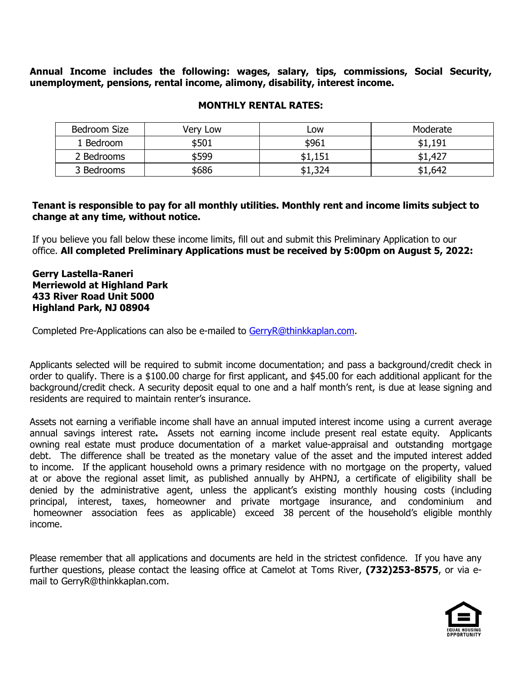**Annual Income includes the following: wages, salary, tips, commissions, Social Security, unemployment, pensions, rental income, alimony, disability, interest income.**

| Bedroom Size | Very Low | Low     | Moderate |
|--------------|----------|---------|----------|
| 1 Bedroom    | \$501    | \$961   | \$1,191  |
| 2 Bedrooms   | \$599    | \$1,151 | \$1,427  |
| 3 Bedrooms   | \$686    | \$1,324 | \$1,642  |

#### **MONTHLY RENTAL RATES:**

#### **Tenant is responsible to pay for all monthly utilities. Monthly rent and income limits subject to change at any time, without notice.**

If you believe you fall below these income limits, fill out and submit this Preliminary Application to our office. **All completed Preliminary Applications must be received by 5:00pm on August 5, 2022:**

#### **Gerry Lastella-Raneri Merriewold at Highland Park 433 River Road Unit 5000 Highland Park, NJ 08904**

Completed Pre-Applications can also be e-mailed to [GerryR@thinkkaplan.com.](mailto:GerryR@thinkkaplan.com)

Applicants selected will be required to submit income documentation; and pass a background/credit check in order to qualify. There is a \$100.00 charge for first applicant, and \$45.00 for each additional applicant for the background/credit check. A security deposit equal to one and a half month's rent, is due at lease signing and residents are required to maintain renter's insurance.

Assets not earning a verifiable income shall have an annual imputed interest income using a current average annual savings interest rate**.** Assets not earning income include present real estate equity. Applicants owning real estate must produce documentation of a market value-appraisal and outstanding mortgage debt. The difference shall be treated as the monetary value of the asset and the imputed interest added to income. If the applicant household owns a primary residence with no mortgage on the property, valued at or above the regional asset limit, as published annually by AHPNJ, a certificate of eligibility shall be denied by the administrative agent, unless the applicant's existing monthly housing costs (including principal, interest, taxes, homeowner and private mortgage insurance, and condominium and homeowner association fees as applicable) exceed 38 percent of the household's eligible monthly income.

Please remember that all applications and documents are held in the strictest confidence. If you have any further questions, please contact the leasing office at Camelot at Toms River, **(732)253-8575**, or via email to GerryR@thinkkaplan.com.

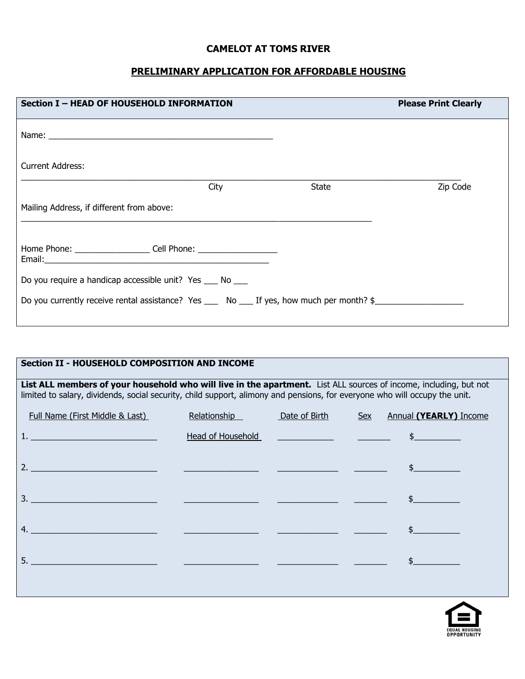## **CAMELOT AT TOMS RIVER**

## **PRELIMINARY APPLICATION FOR AFFORDABLE HOUSING**

| <b>Section I - HEAD OF HOUSEHOLD INFORMATION</b>                                           |      |              | <b>Please Print Clearly</b> |
|--------------------------------------------------------------------------------------------|------|--------------|-----------------------------|
|                                                                                            |      |              |                             |
| <b>Current Address:</b>                                                                    |      |              |                             |
|                                                                                            | City | <b>State</b> | Zip Code                    |
| Mailing Address, if different from above:                                                  |      |              |                             |
| Home Phone: ___________________________ Cell Phone: ____________________________           |      |              |                             |
| Do you require a handicap accessible unit? Yes ____ No ____                                |      |              |                             |
| Do you currently receive rental assistance? Yes ____ No ___ If yes, how much per month? \$ |      |              |                             |

| <b>Section II - HOUSEHOLD COMPOSITION AND INCOME</b>                                                                                                                                                                                            |                                                      |               |                                                                                                                                                                                                                                |  |
|-------------------------------------------------------------------------------------------------------------------------------------------------------------------------------------------------------------------------------------------------|------------------------------------------------------|---------------|--------------------------------------------------------------------------------------------------------------------------------------------------------------------------------------------------------------------------------|--|
| List ALL members of your household who will live in the apartment. List ALL sources of income, including, but not<br>limited to salary, dividends, social security, child support, alimony and pensions, for everyone who will occupy the unit. |                                                      |               |                                                                                                                                                                                                                                |  |
| Full Name (First Middle & Last)                                                                                                                                                                                                                 | Relationship                                         | Date of Birth | <b>Annual (YEARLY)</b> Income<br>Sex                                                                                                                                                                                           |  |
|                                                                                                                                                                                                                                                 |                                                      |               | Head of Household Theory Communication of the Summunication of the Summunication of the Summunication of the Summunication of the Summunication of the Summunication of the Summunication of the Summunication of the Summunic |  |
|                                                                                                                                                                                                                                                 |                                                      |               |                                                                                                                                                                                                                                |  |
|                                                                                                                                                                                                                                                 |                                                      |               |                                                                                                                                                                                                                                |  |
| $\overline{a}$                                                                                                                                                                                                                                  | <u> 1989 - Johann Barn, fransk politik (d. 1989)</u> |               |                                                                                                                                                                                                                                |  |
| 5.                                                                                                                                                                                                                                              |                                                      |               |                                                                                                                                                                                                                                |  |
|                                                                                                                                                                                                                                                 |                                                      |               |                                                                                                                                                                                                                                |  |